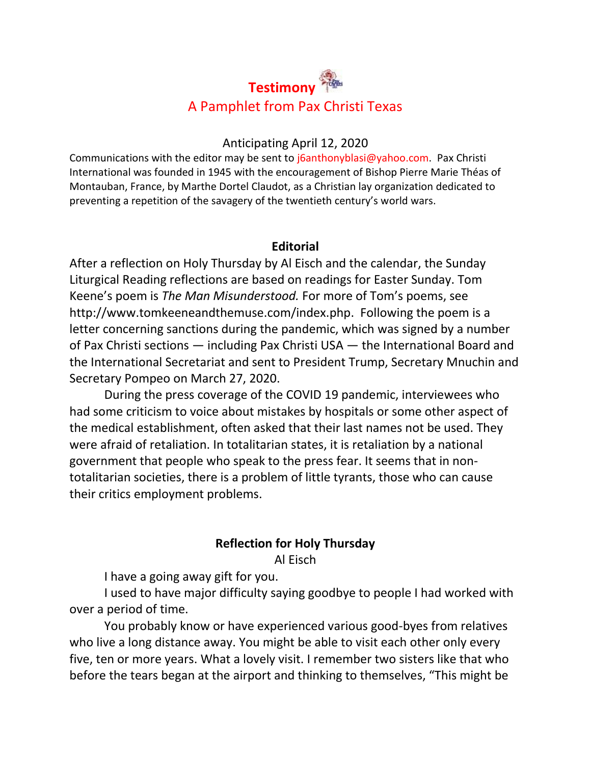# **Testimony** A Pamphlet from Pax Christi Texas

### Anticipating April 12, 2020

Communications with the editor may be sent to joanthonyblasi@yahoo.com. Pax Christi International was founded in 1945 with the encouragement of Bishop Pierre Marie Théas of Montauban, France, by Marthe Dortel Claudot, as a Christian lay organization dedicated to preventing a repetition of the savagery of the twentieth century's world wars.

## **Editorial**

After a reflection on Holy Thursday by Al Eisch and the calendar, the Sunday Liturgical Reading reflections are based on readings for Easter Sunday. Tom Keene's poem is *The Man Misunderstood.* For more of Tom's poems, see [http://www.tomkeeneandthemuse.com/index.php.](http://www.tomkeeneandthemuse.com/index.php) Following the poem is a letter concerning sanctions during the pandemic, which was signed by a number of Pax Christi sections — including Pax Christi USA — the International Board and the International Secretariat and sent to President Trump, Secretary Mnuchin and Secretary Pompeo on March 27, 2020.

During the press coverage of the COVID 19 pandemic, interviewees who had some criticism to voice about mistakes by hospitals or some other aspect of the medical establishment, often asked that their last names not be used. They were afraid of retaliation. In totalitarian states, it is retaliation by a national government that people who speak to the press fear. It seems that in nontotalitarian societies, there is a problem of little tyrants, those who can cause their critics employment problems.

# **Reflection for Holy Thursday**

Al Eisch

I have a going away gift for you.

I used to have major difficulty saying goodbye to people I had worked with over a period of time.

You probably know or have experienced various good-byes from relatives who live a long distance away. You might be able to visit each other only every five, ten or more years. What a lovely visit. I remember two sisters like that who before the tears began at the airport and thinking to themselves, "This might be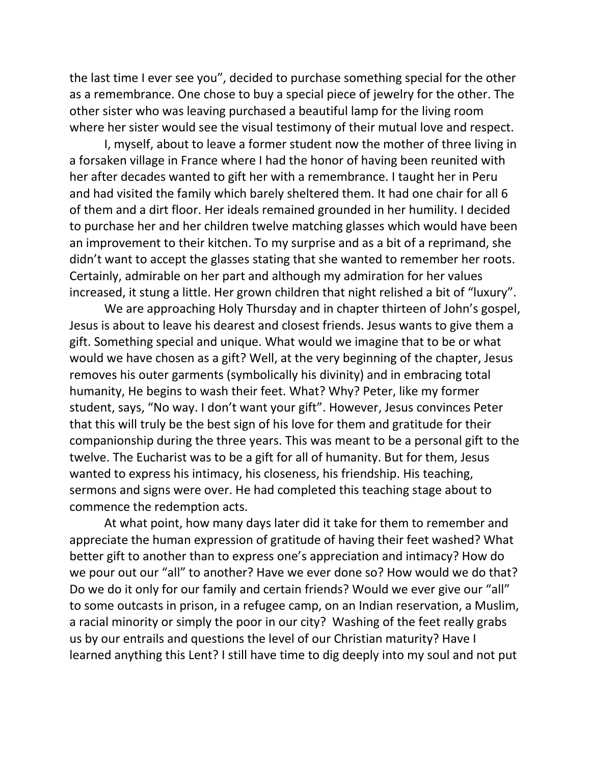the last time I ever see you", decided to purchase something special for the other as a remembrance. One chose to buy a special piece of jewelry for the other. The other sister who was leaving purchased a beautiful lamp for the living room where her sister would see the visual testimony of their mutual love and respect.

I, myself, about to leave a former student now the mother of three living in a forsaken village in France where I had the honor of having been reunited with her after decades wanted to gift her with a remembrance. I taught her in Peru and had visited the family which barely sheltered them. It had one chair for all 6 of them and a dirt floor. Her ideals remained grounded in her humility. I decided to purchase her and her children twelve matching glasses which would have been an improvement to their kitchen. To my surprise and as a bit of a reprimand, she didn't want to accept the glasses stating that she wanted to remember her roots. Certainly, admirable on her part and although my admiration for her values increased, it stung a little. Her grown children that night relished a bit of "luxury".

We are approaching Holy Thursday and in chapter thirteen of John's gospel, Jesus is about to leave his dearest and closest friends. Jesus wants to give them a gift. Something special and unique. What would we imagine that to be or what would we have chosen as a gift? Well, at the very beginning of the chapter, Jesus removes his outer garments (symbolically his divinity) and in embracing total humanity, He begins to wash their feet. What? Why? Peter, like my former student, says, "No way. I don't want your gift". However, Jesus convinces Peter that this will truly be the best sign of his love for them and gratitude for their companionship during the three years. This was meant to be a personal gift to the twelve. The Eucharist was to be a gift for all of humanity. But for them, Jesus wanted to express his intimacy, his closeness, his friendship. His teaching, sermons and signs were over. He had completed this teaching stage about to commence the redemption acts.

At what point, how many days later did it take for them to remember and appreciate the human expression of gratitude of having their feet washed? What better gift to another than to express one's appreciation and intimacy? How do we pour out our "all" to another? Have we ever done so? How would we do that? Do we do it only for our family and certain friends? Would we ever give our "all" to some outcasts in prison, in a refugee camp, on an Indian reservation, a Muslim, a racial minority or simply the poor in our city? Washing of the feet really grabs us by our entrails and questions the level of our Christian maturity? Have I learned anything this Lent? I still have time to dig deeply into my soul and not put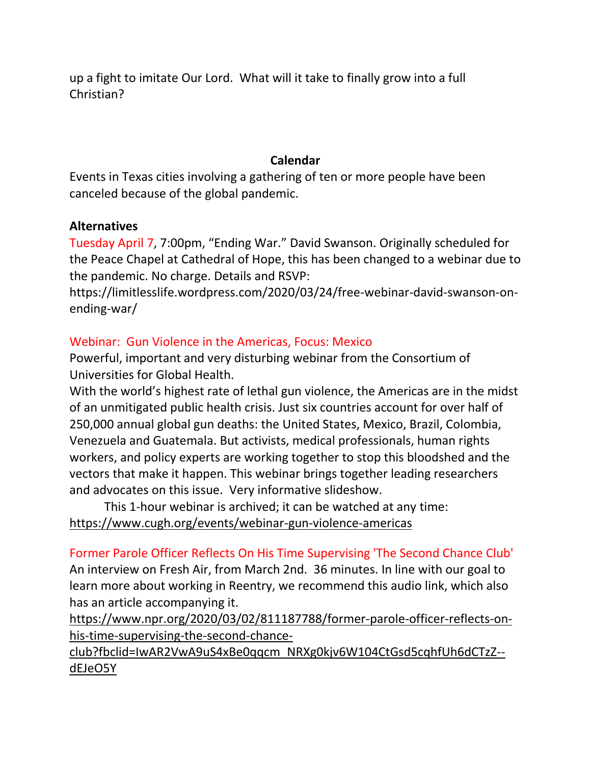up a fight to imitate Our Lord. What will it take to finally grow into a full Christian?

# **Calendar**

Events in Texas cities involving a gathering of ten or more people have been canceled because of the global pandemic.

# **Alternatives**

Tuesday April 7, 7:00pm, "Ending War." David Swanson. Originally scheduled for the Peace Chapel at Cathedral of Hope, this has been changed to a webinar due to the pandemic. No charge. Details and RSVP:

https://limitlesslife.wordpress.com/2020/03/24/free-webinar-david-swanson-onending-war/

# Webinar: Gun Violence in the Americas, Focus: Mexico

Powerful, important and very disturbing webinar from the Consortium of Universities for Global Health.

With the world's highest rate of lethal gun violence, the Americas are in the midst of an unmitigated public health crisis. Just six countries account for over half of 250,000 annual global gun deaths: the United States, Mexico, Brazil, Colombia, Venezuela and Guatemala. But activists, medical professionals, human rights workers, and policy experts are working together to stop this bloodshed and the vectors that make it happen. This webinar brings together leading researchers and advocates on this issue. Very informative slideshow.

This 1-hour webinar is archived; it can be watched at any time: [https://www.cugh.org/events/webinar-gun-violence-americas](https://nam01.safelinks.protection.outlook.com/?url=https%3A%2F%2Fwww.cugh.org%2Fevents%2Fwebinar-gun-violence-americas&data=02%7C01%7C%7C3329e77a45a349319e8408d7d4be65cf%7C84df9e7fe9f640afb435aaaaaaaaaaaa%7C1%7C0%7C637211786610415395&sdata=98CvhHiMyigOPLMyB6umcnU013bXB3rM8Qqsm8P2bk4%3D&reserved=0)

Former Parole Officer Reflects On His Time Supervising 'The Second Chance Club' An interview on Fresh Air, from March 2nd. 36 minutes. In line with our goal to learn more about working in Reentry, we recommend this audio link, which also has an article accompanying it.

[https://www.npr.org/2020/03/02/811187788/former-parole-officer-reflects-on](https://nam01.safelinks.protection.outlook.com/?url=https%3A%2F%2Fwww.npr.org%2F2020%2F03%2F02%2F811187788%2Fformer-parole-officer-reflects-on-his-time-supervising-the-second-chance-club%3Ffbclid%3DIwAR2VwA9uS4xBe0qqcm_NRXg0kjv6W104CtGsd5cqhfUh6dCTzZ--dEJeO5Y&data=02%7C01%7C%7C3329e77a45a349319e8408d7d4be65cf%7C84df9e7fe9f640afb435aaaaaaaaaaaa%7C1%7C0%7C637211786610445392&sdata=8vEPqkvP1fJUj3Kcvnes%2BQCPqozrsZ4LEH%2BrPEE%2BR9s%3D&reserved=0)[his-time-supervising-the-second-chance-](https://nam01.safelinks.protection.outlook.com/?url=https%3A%2F%2Fwww.npr.org%2F2020%2F03%2F02%2F811187788%2Fformer-parole-officer-reflects-on-his-time-supervising-the-second-chance-club%3Ffbclid%3DIwAR2VwA9uS4xBe0qqcm_NRXg0kjv6W104CtGsd5cqhfUh6dCTzZ--dEJeO5Y&data=02%7C01%7C%7C3329e77a45a349319e8408d7d4be65cf%7C84df9e7fe9f640afb435aaaaaaaaaaaa%7C1%7C0%7C637211786610445392&sdata=8vEPqkvP1fJUj3Kcvnes%2BQCPqozrsZ4LEH%2BrPEE%2BR9s%3D&reserved=0)

[club?fbclid=IwAR2VwA9uS4xBe0qqcm\\_NRXg0kjv6W104CtGsd5cqhfUh6dCTzZ-](https://nam01.safelinks.protection.outlook.com/?url=https%3A%2F%2Fwww.npr.org%2F2020%2F03%2F02%2F811187788%2Fformer-parole-officer-reflects-on-his-time-supervising-the-second-chance-club%3Ffbclid%3DIwAR2VwA9uS4xBe0qqcm_NRXg0kjv6W104CtGsd5cqhfUh6dCTzZ--dEJeO5Y&data=02%7C01%7C%7C3329e77a45a349319e8408d7d4be65cf%7C84df9e7fe9f640afb435aaaaaaaaaaaa%7C1%7C0%7C637211786610445392&sdata=8vEPqkvP1fJUj3Kcvnes%2BQCPqozrsZ4LEH%2BrPEE%2BR9s%3D&reserved=0) [dEJeO5Y](https://nam01.safelinks.protection.outlook.com/?url=https%3A%2F%2Fwww.npr.org%2F2020%2F03%2F02%2F811187788%2Fformer-parole-officer-reflects-on-his-time-supervising-the-second-chance-club%3Ffbclid%3DIwAR2VwA9uS4xBe0qqcm_NRXg0kjv6W104CtGsd5cqhfUh6dCTzZ--dEJeO5Y&data=02%7C01%7C%7C3329e77a45a349319e8408d7d4be65cf%7C84df9e7fe9f640afb435aaaaaaaaaaaa%7C1%7C0%7C637211786610445392&sdata=8vEPqkvP1fJUj3Kcvnes%2BQCPqozrsZ4LEH%2BrPEE%2BR9s%3D&reserved=0)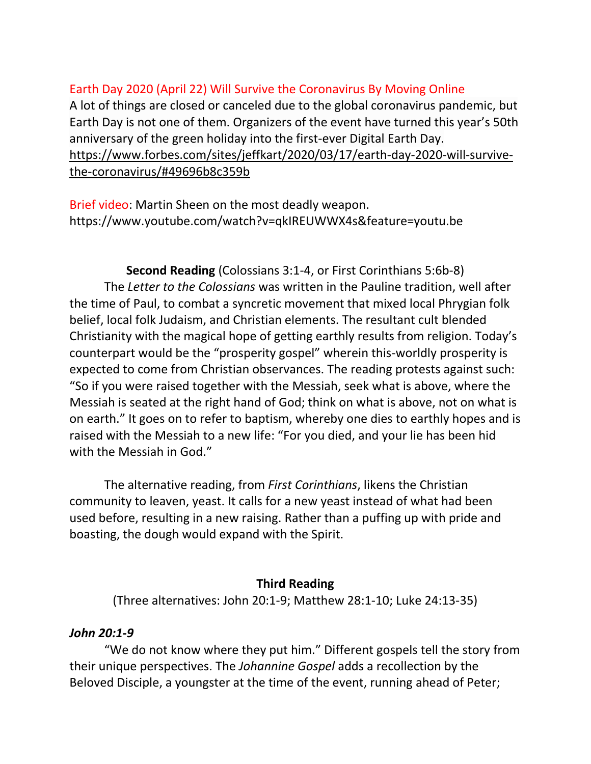# [Earth Day 2020 \(April 22\) Will Survive the Coronavirus By Moving Online](https://nam01.safelinks.protection.outlook.com/?url=https%3A%2F%2Fwww.forbes.com%2Fsites%2Fjeffkart%2F2020%2F03%2F17%2Fearth-day-2020-will-survive-the-coronavirus%2F%2349696b8c359b&data=02%7C01%7C%7C3329e77a45a349319e8408d7d4be65cf%7C84df9e7fe9f640afb435aaaaaaaaaaaa%7C1%7C0%7C637211786610555338&sdata=sWBnsQOFkNMTNd8vp2ov8wAgCFxxi7vPwV7iKivhHvg%3D&reserved=0)

A lot of things are closed or canceled due to the global coronavirus pandemic, but Earth Day is not one of them. Organizers of the event have turned this year's 50th anniversary of the green holiday into the first-ever Digital Earth Day. [https://www.forbes.com/sites/jeffkart/2020/03/17/earth-day-2020-will-survive](https://nam01.safelinks.protection.outlook.com/?url=https%3A%2F%2Fwww.forbes.com%2Fsites%2Fjeffkart%2F2020%2F03%2F17%2Fearth-day-2020-will-survive-the-coronavirus%2F%2349696b8c359b&data=02%7C01%7C%7C3329e77a45a349319e8408d7d4be65cf%7C84df9e7fe9f640afb435aaaaaaaaaaaa%7C1%7C0%7C637211786610565329&sdata=ZiUcXc4Sat7jpuxX6mkyg%2F52geiBzp4NK4kfWW%2Bq624%3D&reserved=0)[the-coronavirus/#49696b8c359b](https://nam01.safelinks.protection.outlook.com/?url=https%3A%2F%2Fwww.forbes.com%2Fsites%2Fjeffkart%2F2020%2F03%2F17%2Fearth-day-2020-will-survive-the-coronavirus%2F%2349696b8c359b&data=02%7C01%7C%7C3329e77a45a349319e8408d7d4be65cf%7C84df9e7fe9f640afb435aaaaaaaaaaaa%7C1%7C0%7C637211786610565329&sdata=ZiUcXc4Sat7jpuxX6mkyg%2F52geiBzp4NK4kfWW%2Bq624%3D&reserved=0)

Brief video: Martin Sheen on the most deadly weapon. https://www.youtube.com/watch?v=qkIREUWWX4s&feature=youtu.be

**Second Reading** (Colossians 3:1-4, or First Corinthians 5:6b-8) The *Letter to the Colossians* was written in the Pauline tradition, well after the time of Paul, to combat a syncretic movement that mixed local Phrygian folk belief, local folk Judaism, and Christian elements. The resultant cult blended Christianity with the magical hope of getting earthly results from religion. Today's counterpart would be the "prosperity gospel" wherein this-worldly prosperity is expected to come from Christian observances. The reading protests against such: "So if you were raised together with the Messiah, seek what is above, where the Messiah is seated at the right hand of God; think on what is above, not on what is on earth." It goes on to refer to baptism, whereby one dies to earthly hopes and is raised with the Messiah to a new life: "For you died, and your lie has been hid with the Messiah in God."

The alternative reading, from *First Corinthians*, likens the Christian community to leaven, yeast. It calls for a new yeast instead of what had been used before, resulting in a new raising. Rather than a puffing up with pride and boasting, the dough would expand with the Spirit.

#### **Third Reading**

(Three alternatives: John 20:1-9; Matthew 28:1-10; Luke 24:13-35)

#### *John 20:1-9*

"We do not know where they put him." Different gospels tell the story from their unique perspectives. The *Johannine Gospel* adds a recollection by the Beloved Disciple, a youngster at the time of the event, running ahead of Peter;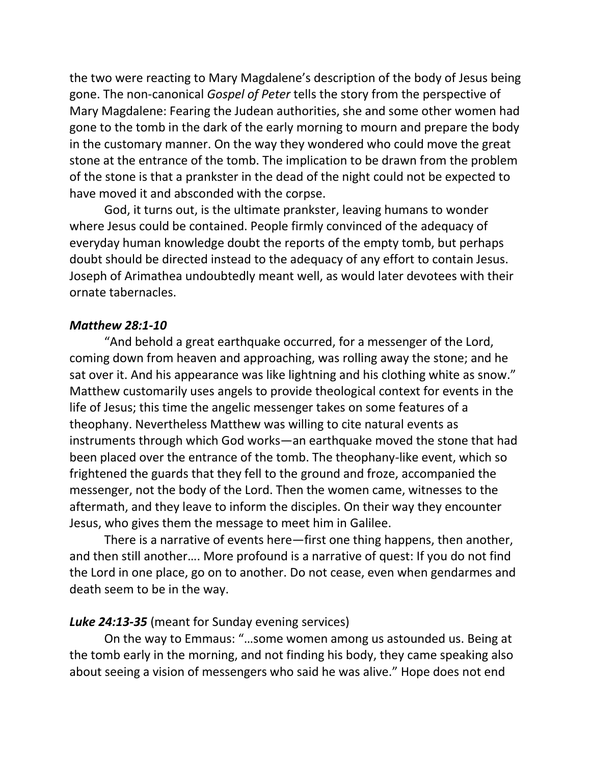the two were reacting to Mary Magdalene's description of the body of Jesus being gone. The non-canonical *Gospel of Peter* tells the story from the perspective of Mary Magdalene: Fearing the Judean authorities, she and some other women had gone to the tomb in the dark of the early morning to mourn and prepare the body in the customary manner. On the way they wondered who could move the great stone at the entrance of the tomb. The implication to be drawn from the problem of the stone is that a prankster in the dead of the night could not be expected to have moved it and absconded with the corpse.

God, it turns out, is the ultimate prankster, leaving humans to wonder where Jesus could be contained. People firmly convinced of the adequacy of everyday human knowledge doubt the reports of the empty tomb, but perhaps doubt should be directed instead to the adequacy of any effort to contain Jesus. Joseph of Arimathea undoubtedly meant well, as would later devotees with their ornate tabernacles.

#### *Matthew 28:1-10*

"And behold a great earthquake occurred, for a messenger of the Lord, coming down from heaven and approaching, was rolling away the stone; and he sat over it. And his appearance was like lightning and his clothing white as snow." Matthew customarily uses angels to provide theological context for events in the life of Jesus; this time the angelic messenger takes on some features of a theophany. Nevertheless Matthew was willing to cite natural events as instruments through which God works—an earthquake moved the stone that had been placed over the entrance of the tomb. The theophany-like event, which so frightened the guards that they fell to the ground and froze, accompanied the messenger, not the body of the Lord. Then the women came, witnesses to the aftermath, and they leave to inform the disciples. On their way they encounter Jesus, who gives them the message to meet him in Galilee.

There is a narrative of events here—first one thing happens, then another, and then still another…. More profound is a narrative of quest: If you do not find the Lord in one place, go on to another. Do not cease, even when gendarmes and death seem to be in the way.

#### *Luke 24:13-35* (meant for Sunday evening services)

On the way to Emmaus: "…some women among us astounded us. Being at the tomb early in the morning, and not finding his body, they came speaking also about seeing a vision of messengers who said he was alive." Hope does not end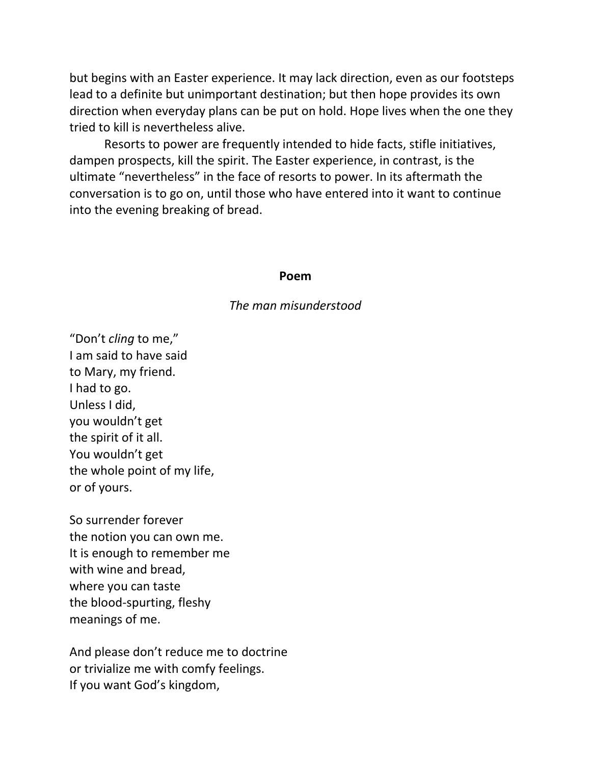but begins with an Easter experience. It may lack direction, even as our footsteps lead to a definite but unimportant destination; but then hope provides its own direction when everyday plans can be put on hold. Hope lives when the one they tried to kill is nevertheless alive.

Resorts to power are frequently intended to hide facts, stifle initiatives, dampen prospects, kill the spirit. The Easter experience, in contrast, is the ultimate "nevertheless" in the face of resorts to power. In its aftermath the conversation is to go on, until those who have entered into it want to continue into the evening breaking of bread.

#### **Poem**

#### *The man misunderstood*

"Don't *cling* to me," I am said to have said to Mary, my friend. I had to go. Unless I did, you wouldn't get the spirit of it all. You wouldn't get the whole point of my life, or of yours.

So surrender forever the notion you can own me. It is enough to remember me with wine and bread, where you can taste the blood-spurting, fleshy meanings of me.

And please don't reduce me to doctrine or trivialize me with comfy feelings. If you want God's kingdom,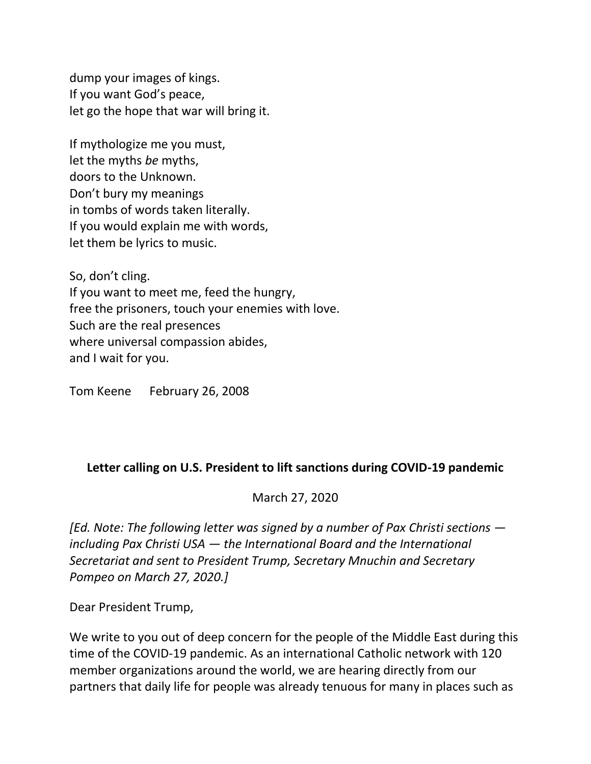dump your images of kings. If you want God's peace, let go the hope that war will bring it.

If mythologize me you must, let the myths *be* myths, doors to the Unknown. Don't bury my meanings in tombs of words taken literally. If you would explain me with words, let them be lyrics to music.

So, don't cling. If you want to meet me, feed the hungry, free the prisoners, touch your enemies with love. Such are the real presences where universal compassion abides, and I wait for you.

Tom Keene February 26, 2008

# **Letter calling on U.S. President to lift sanctions during COVID-19 pandemic**

[March 27, 2020](https://paxchristiusa.org/2020/03/27/letter-calling-on-u-s-president-to-lift-sanctions-during-covid-19-pandemic/)

*[Ed. Note: The following letter was signed by a number of Pax Christi sections including Pax Christi USA — the International Board and the International Secretariat and sent to President Trump, Secretary Mnuchin and Secretary Pompeo on March 27, 2020.]*

Dear President Trump,

We write to you out of deep concern for the people of the Middle East during this time of the COVID-19 pandemic. As an international Catholic network with 120 member organizations around the world, we are hearing directly from our partners that daily life for people was already tenuous for many in places such as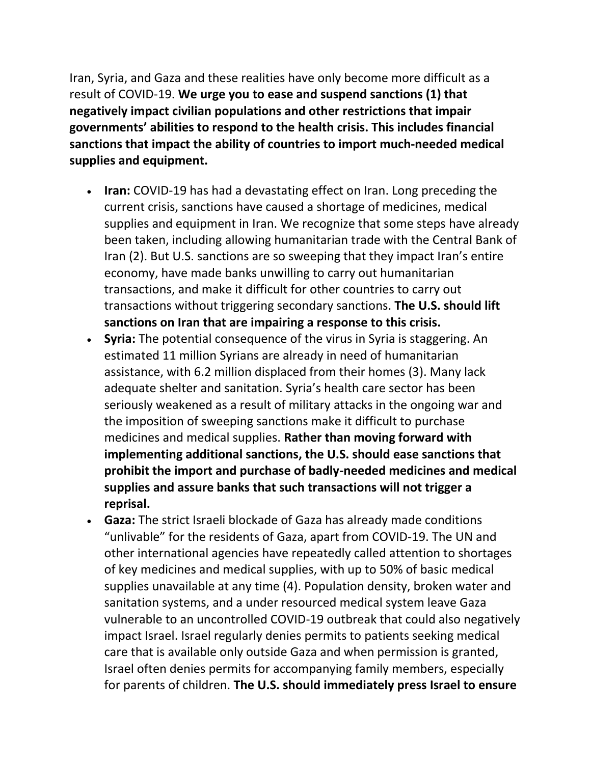Iran, Syria, and Gaza and these realities have only become more difficult as a result of COVID-19. **We urge you to ease and suspend sanctions (1) that negatively impact civilian populations and other restrictions that impair governments' abilities to respond to the health crisis. This includes financial sanctions that impact the ability of countries to import much-needed medical supplies and equipment.**

- **Iran:** COVID-19 has had a devastating effect on Iran. Long preceding the current crisis, sanctions have caused a shortage of medicines, medical supplies and equipment in Iran. We recognize that some steps have already been taken, including allowing humanitarian trade with the Central Bank of Iran (2). But U.S. sanctions are so sweeping that they impact Iran's entire economy, have made banks unwilling to carry out humanitarian transactions, and make it difficult for other countries to carry out transactions without triggering secondary sanctions. **The U.S. should lift sanctions on Iran that are impairing a response to this crisis.**
- **Syria:** The potential consequence of the virus in Syria is staggering. An estimated 11 million Syrians are already in need of humanitarian assistance, with 6.2 million displaced from their homes (3). Many lack adequate shelter and sanitation. Syria's health care sector has been seriously weakened as a result of military attacks in the ongoing war and the imposition of sweeping sanctions make it difficult to purchase medicines and medical supplies. **Rather than moving forward with implementing additional sanctions, the U.S. should ease sanctions that prohibit the import and purchase of badly-needed medicines and medical supplies and assure banks that such transactions will not trigger a reprisal.**
- **Gaza:** The strict Israeli blockade of Gaza has already made conditions "unlivable" for the residents of Gaza, apart from COVID-19. The UN and other international agencies have repeatedly called attention to shortages of key medicines and medical supplies, with up to 50% of basic medical supplies unavailable at any time (4). Population density, broken water and sanitation systems, and a under resourced medical system leave Gaza vulnerable to an uncontrolled COVID-19 outbreak that could also negatively impact Israel. Israel regularly denies permits to patients seeking medical care that is available only outside Gaza and when permission is granted, Israel often denies permits for accompanying family members, especially for parents of children. **The U.S. should immediately press Israel to ensure**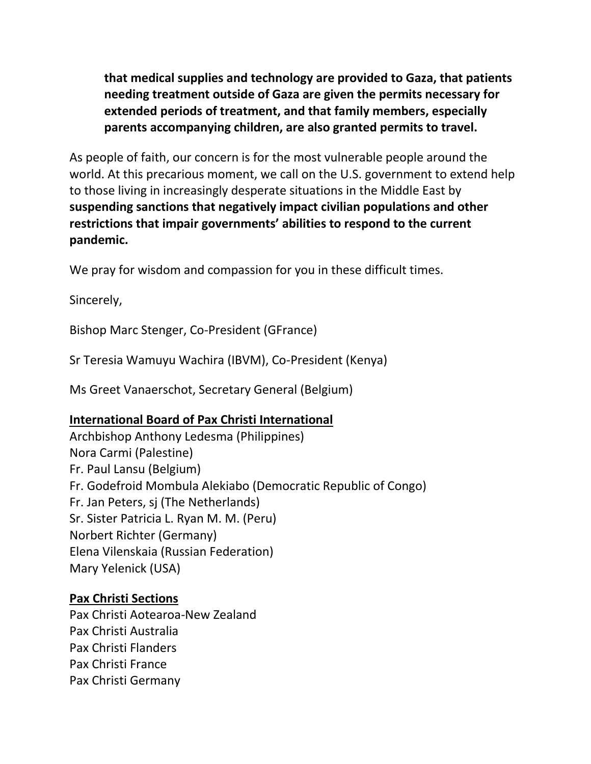**that medical supplies and technology are provided to Gaza, that patients needing treatment outside of Gaza are given the permits necessary for extended periods of treatment, and that family members, especially parents accompanying children, are also granted permits to travel.**

As people of faith, our concern is for the most vulnerable people around the world. At this precarious moment, we call on the U.S. government to extend help to those living in increasingly desperate situations in the Middle East by **suspending sanctions that negatively impact civilian populations and other restrictions that impair governments' abilities to respond to the current pandemic.**

We pray for wisdom and compassion for you in these difficult times.

Sincerely,

Bishop Marc Stenger, Co-President (GFrance)

Sr Teresia Wamuyu Wachira (IBVM), Co-President (Kenya)

Ms Greet Vanaerschot, Secretary General (Belgium)

# **International Board of Pax Christi International**

Archbishop Anthony Ledesma (Philippines) Nora Carmi (Palestine) Fr. Paul Lansu (Belgium) Fr. Godefroid Mombula Alekiabo (Democratic Republic of Congo) Fr. Jan Peters, sj (The Netherlands) Sr. Sister Patricia L. Ryan M. M. (Peru) Norbert Richter (Germany) Elena Vilenskaia (Russian Federation) Mary Yelenick (USA)

# **Pax Christi Sections**

Pax Christi Aotearoa-New Zealand Pax Christi Australia Pax Christi Flanders Pax Christi France Pax Christi Germany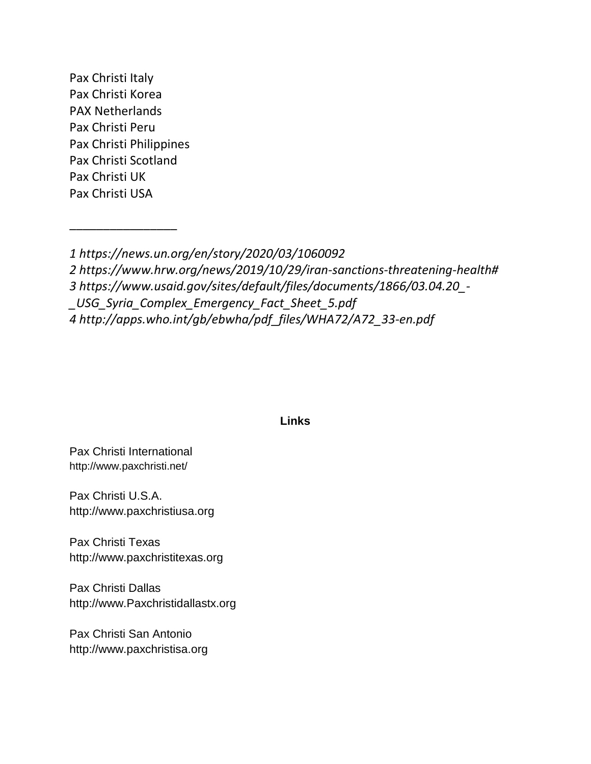Pax Christi Italy Pax Christi Korea PAX Netherlands Pax Christi Peru Pax Christi Philippines Pax Christi Scotland Pax Christi UK Pax Christi USA

\_\_\_\_\_\_\_\_\_\_\_\_\_\_\_\_

*1 <https://news.un.org/en/story/2020/03/1060092>*

*2 [https://www.hrw.org/news/2019/10/29/iran-sanctions-threatening-health#](https://www.hrw.org/news/2019/10/29/iran-sanctions-threatening-health)*

*3 [https://www.usaid.gov/sites/default/files/documents/1866/03.04.20\\_-](https://www.usaid.gov/sites/default/files/documents/1866/03.04.20_-_USG_Syria_Complex_Emergency_Fact_Sheet_5.pdf)*

*[\\_USG\\_Syria\\_Complex\\_Emergency\\_Fact\\_Sheet\\_5.pdf](https://www.usaid.gov/sites/default/files/documents/1866/03.04.20_-_USG_Syria_Complex_Emergency_Fact_Sheet_5.pdf)*

*4 [http://apps.who.int/gb/ebwha/pdf\\_files/WHA72/A72\\_33-en.pdf](http://apps.who.int/gb/ebwha/pdf_files/WHA72/A72_33-en.pdf)*

#### **Links**

Pax Christi International <http://www.paxchristi.net/>

Pax Christi U.S.A. [http://www.paxchristiusa.org](http://www.paxchristiusa.org/)

Pax Christi Texas [http://www.paxchristitexas.org](http://www.paxchristitexas.org/)

Pax Christi Dallas [http://www.Paxchristidallastx.org](http://www.paxchristidallastx.org/)

Pax Christi San Antonio [http://www.paxchristisa.org](http://www.paxchristisa.org/)